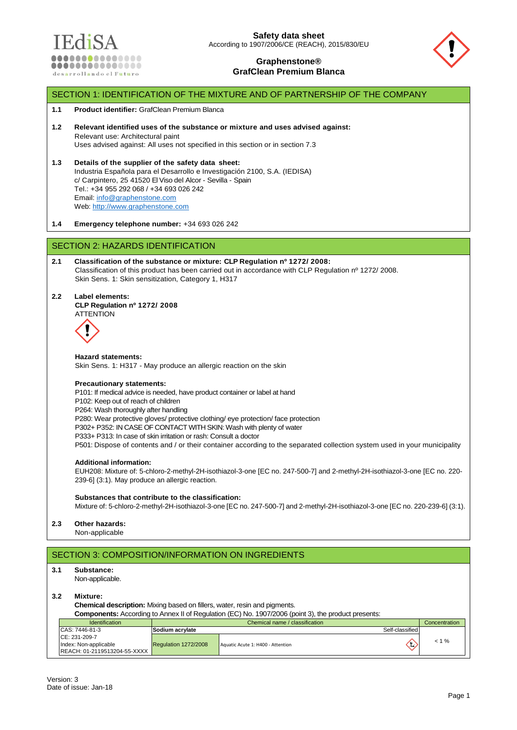



# Version: 3 Date of issue: Jan-18 Page 1 SECTION 1: IDENTIFICATION OF THE MIXTURE AND OF PARTNERSHIP OF THE COMPANY **1.1 Product identifier:** GrafClean Premium Blanca **1.2 Relevant identified uses of the substance or mixture and uses advised against:** Relevant use: Architectural paint Uses advised against: All uses not specified in this section or in section 7.3 **1.3 Details of the supplier of the safety data sheet:** Industria Española para el Desarrollo e Investigación 2100, S.A. (IEDISA) c/ Carpintero, 25 41520 El Viso del Alcor - Sevilla - Spain Tel.: +34 955 292 068 / +34 693 026 242 Email: [info@graphenstone.com](mailto:info@graphenstone.com) Web[: http://www.graphenstone.com](http://www.graphenstone.com/) **1.4 Emergency telephone number:** +34 693 026 242 SECTION 2: HAZARDS IDENTIFICATION **2.1 Classification of the substance or mixture: CLP Regulation nº 1272/ 2008:** Classification of this product has been carried out in accordance with CLP Regulation nº 1272/ 2008. Skin Sens. 1: Skin sensitization, Category 1, H317 **2.2 Label elements: CLP Regulation nº 1272/ 2008 ATTENTION Hazard statements:**  Skin Sens. 1: H317 - May produce an allergic reaction on the skin **Precautionary statements:** P101: If medical advice is needed, have product container or label at hand P102: Keep out of reach of children P264: Wash thoroughly after handling P280: Wear protective gloves/ protective clothing/ eye protection/ face protection P302+ P352: IN CASE OF CONTACT WITH SKIN: Wash with plenty of water P333+ P313: In case of skin irritation or rash: Consult a doctor P501: Dispose of contents and / or their container according to the separated collection system used in your municipality **Additional information:** EUH208: Mixture of: 5-chloro-2-methyl-2H-isothiazol-3-one [EC no. 247-500-7] and 2-methyl-2H-isothiazol-3-one [EC no. 220- 239-6] (3:1). May produce an allergic reaction. **Substances that contribute to the classification:** Mixture of: 5-chloro-2-methyl-2H-isothiazol-3-one [EC no. 247-500-7] and 2-methyl-2H-isothiazol-3-one [EC no. 220-239-6] (3:1). **2.3 Other hazards:** Non-applicable SECTION 3: COMPOSITION/INFORMATION ON INGREDIENTS **3.1 Substance:** Non-applicable. **3.2 Mixture: Chemical description:** Mixing based on fillers, water, resin and pigments. **Components:** According to Annex II of Regulation (EC) No. 1907/2006 (point 3), the product presents: Identification and Chemical name / classification Concentration Concentration Concentration Concentration Concentration CAS: 7446-81-3 CE: 231-209-7 Index: Non-applicable REACH: 01-2119513204-55-XXXX **Sodium acrylate** Self-classified Regulation 1272/2008 Aquatic Acute 1: H400 - Attention  $\left\langle \mathbf{1} \right\rangle$  < 1 %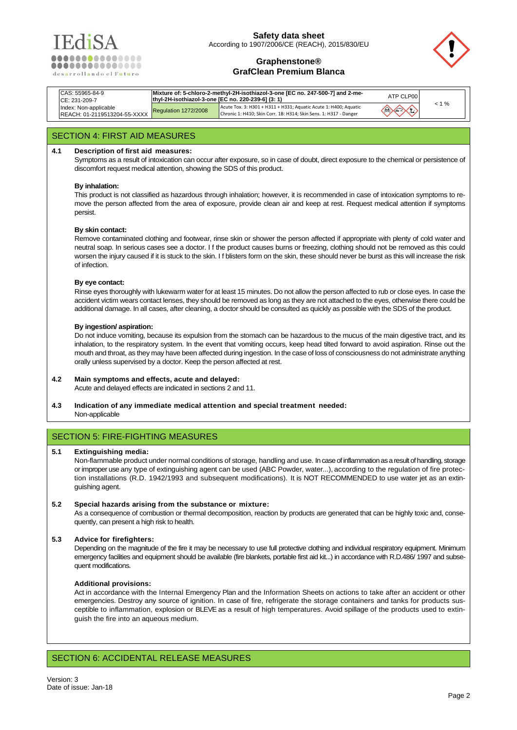

# **Safety data sheet** According to 1907/2006/CE (REACH), 2015/830/EU



## **Graphenstone® GrafClean Premium Blanca**

| CAS: 55965-84-9<br>CE: 231-209-7                      | thyl-2H-isothiazol-3-one [EC no. 220-239-6] (3: 1) | Mixture of: 5-chloro-2-methyl-2H-isothiazol-3-one [EC no. 247-500-7] and 2-me-                                                        | ATP CLP00                                |          |
|-------------------------------------------------------|----------------------------------------------------|---------------------------------------------------------------------------------------------------------------------------------------|------------------------------------------|----------|
| Index: Non-applicable<br>REACH: 01-2119513204-55-XXXX | Regulation 1272/2008                               | Acute Tox. 3: H301 + H311 + H331; Aquatic Acute 1: H400; Aquatic<br>Chronic 1: H410; Skin Corr. 1B: H314; Skin Sens. 1: H317 - Danger | $\left\langle \rightarrow \right\rangle$ | $< 1 \%$ |

# SECTION 4: FIRST AID MEASURES

## **4.1 Description of first aid measures:**

Symptoms as a result of intoxication can occur after exposure, so in case of doubt, direct exposure to the chemical or persistence of discomfort request medical attention, showing the SDS of this product.

### **By inhalation:**

This product is not classified as hazardous through inhalation; however, it is recommended in case of intoxication symptoms to remove the person affected from the area of exposure, provide clean air and keep at rest. Request medical attention if symptoms persist.

### **By skin contact:**

Remove contaminated clothing and footwear, rinse skin or shower the person affected if appropriate with plenty of cold water and neutral soap. In serious cases see a doctor. I f the product causes burns or freezing, clothing should not be removed as this could worsen the injury caused if it is stuck to the skin. I f blisters form on the skin, these should never be burst as this will increase the risk of infection.

#### **By eye contact:**

Rinse eyes thoroughly with lukewarm water for at least 15 minutes. Do not allow the person affected to rub or close eyes. In case the accident victim wears contact lenses, they should be removed as long as they are not attached to the eyes, otherwise there could be additional damage. In all cases, after cleaning, a doctor should be consulted as quickly as possible with the SDS of the product.

### **By ingestion/ aspiration:**

Do not induce vomiting, because its expulsion from the stomach can be hazardous to the mucus of the main digestive tract, and its inhalation, to the respiratory system. In the event that vomiting occurs, keep head tilted forward to avoid aspiration. Rinse out the mouth and throat, as they may have been affected during ingestion. In the case of loss of consciousness do not administrate anything orally unless supervised by a doctor. Keep the person affected at rest.

#### **4.2 Main symptoms and effects, acute and delayed:**

Acute and delayed effects are indicated in sections 2 and 11.

**4.3 Indication of any immediate medical attention and special treatment needed:** Non-applicable

# SECTION 5: FIRE-FIGHTING MEASURES

## **5.1 Extinguishing media:**

Non-flammable product under normal conditions of storage, handling and use. In case of inflammation as a result of handling, storage or improper use any type of extinguishing agent can be used (ABC Powder, water...), according to the regulation of fire protection installations (R.D. 1942/1993 and subsequent modifications). It is NOT RECOMMENDED to use water jet as an extinguishing agent.

#### **5.2 Special hazards arising from the substance or mixture:**

As a consequence of combustion or thermal decomposition, reaction by products are generated that can be highly toxic and, consequently, can present a high risk to health.

## **5.3 Advice for firefighters:**

Depending on the magnitude of the fire it may be necessary to use full protective dothing and individual respiratory equipment. Minimum emergency facilities and equipment should be available (fire blankets, portable first aid kit...) in accordance with R.D.486/ 1997 and subsequent modifications.

#### **Additional provisions:**

Act in accordance with the Internal Emergency Plan and the Information Sheets on actions to take after an accident or other emergencies. Destroy any source of ignition. In case of fire, refrigerate the storage containers and tanks for products susceptible to inflammation, explosion or BLEVE as a result of high temperatures. Avoid spillage of the products used to extinguish the fire into an aqueous medium.

# SECTION 6: ACCIDENTAL RELEASE MEASURES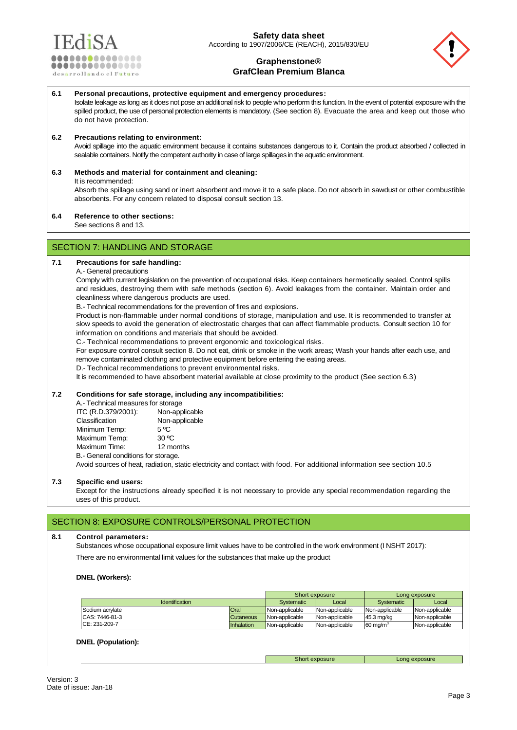



**6.1 Personal precautions, protective equipment and emergency procedures:** Isolate leakage as long as it does not pose an additional risk to people who perform this function. In the event of potential exposure with the spilled product, the use of personal protection elements is mandatory. (See section 8). Evacuate the area and keep out those who do not have protection.

## **6.2 Precautions relating to environment:**

Avoid spillage into the aquatic environment because it contains substances dangerous to it. Contain the product absorbed / collected in sealable containers. Notify the competent authority in case of large spillages in the aquatic environment.

## **6.3 Methods and material for containment and cleaning:**

#### It is recommended:

Absorb the spillage using sand or inert absorbent and move it to a safe place. Do not absorb in sawdust or other combustible absorbents. For any concern related to disposal consult section 13.

### **6.4 Reference to other sections:**

See sections 8 and 13.

# SECTION 7: HANDLING AND STORAGE

## **7.1 Precautions for safe handling:**

## A.- General precautions

Comply with current legislation on the prevention of occupational risks. Keep containers hermetically sealed. Control spills and residues, destroying them with safe methods (section 6). Avoid leakages from the container. Maintain order and cleanliness where dangerous products are used.

B.- Technical recommendations for the prevention of fires and explosions.

Product is non-flammable under normal conditions of storage, manipulation and use. It is recommended to transfer at slow speeds to avoid the generation of electrostatic charges that can affect flammable products. Consult section 10 for information on conditions and materials that should be avoided.

C.- Technical recommendations to prevent ergonomic and toxicological risks.

For exposure control consult section 8. Do not eat, drink or smoke in the work areas; Wash your hands after each use, and remove contaminated clothing and protective equipment before entering the eating areas.

D.- Technical recommendations to prevent environmental risks.

It is recommended to have absorbent material available at close proximity to the product (See section 6.3)

#### **7.2 Conditions for safe storage, including any incompatibilities:**

| A.- Technical measures for storage  |                                                                                                                         |
|-------------------------------------|-------------------------------------------------------------------------------------------------------------------------|
| ITC (R.D.379/2001):                 | Non-applicable                                                                                                          |
| Classification                      | Non-applicable                                                                                                          |
| Minimum Temp:                       | 5 °C                                                                                                                    |
| Maximum Temp:                       | 30 °C                                                                                                                   |
| Maximum Time:                       | 12 months                                                                                                               |
| B.- General conditions for storage. |                                                                                                                         |
|                                     | Avoid sources of heat, radiation, static electricity and contact with food. For additional information see section 10.5 |

## **7.3 Specific end users:**

Except for the instructions already specified it is not necessary to provide any special recommendation regarding the uses of this product.

## SECTION 8: EXPOSURE CONTROLS/PERSONAL PROTECTION

#### **8.1 Control parameters:**

Substances whose occupational exposure limit values have to be controlled in the work environment (I NSHT 2017): There are no environmental limit values for the substances that make up the product

#### **DNEL (Workers):**

|                       |                  |                | Short exposure |                     | Long exposure  |
|-----------------------|------------------|----------------|----------------|---------------------|----------------|
| <b>Identification</b> |                  | Systematic     | Local          | Systematic          | Local          |
| Sodium acrylate       | Oral             | Non-applicable | Non-applicable | Non-applicable      | Non-applicable |
| CAS: 7446-81-3        | <b>Cutaneous</b> | Non-applicable | Non-applicable | 45.3 mg/kg          | Non-applicable |
| CE: 231-209-7         | Inhalation       | Non-applicable | Non-applicable | $60 \text{ ma/m}^3$ | Non-applicable |

Short exposure **Long exposure** 

## **DNEL (Population):**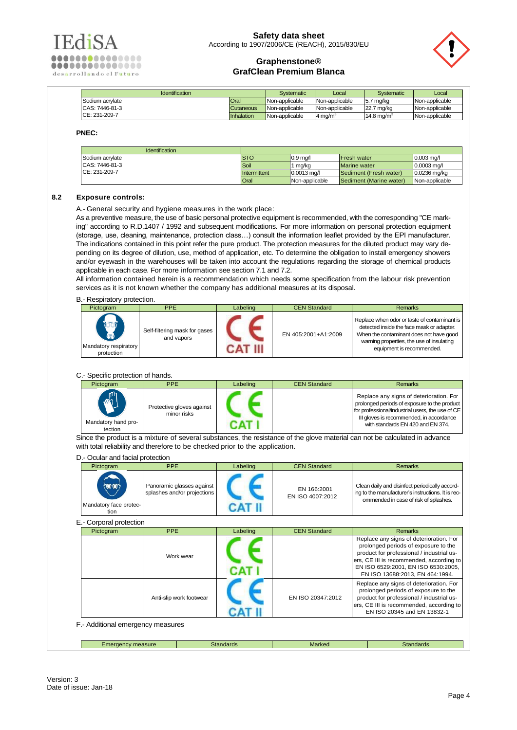



| <b>Identification</b> |            | Systematic     | Local          | <b>Systematic</b>      | Local          |
|-----------------------|------------|----------------|----------------|------------------------|----------------|
| Sodium acrylate       | Oral       | Non-applicable | Non-applicable | 5.7 ma/ka              | Non-applicable |
| CAS: 7446-81-3        | Cutaneous  | Non-applicable | Non-applicable | 22.7 mg/kg             | Non-applicable |
| CE: 231-209-7         | Inhalation | Non-applicable | l4 ma/mª       | 14.8 ma/m <sup>3</sup> | Non-applicable |

**PNEC:**

| <b>Identification</b> |              |                     |                         |                     |
|-----------------------|--------------|---------------------|-------------------------|---------------------|
| Sodium acrylate       | <b>STO</b>   | $0.9 \text{ ma}$    | Fresh water             | $0.003 \text{ ma}$  |
| CAS: 7446-81-3        | Soil         | 1 ma⁄ka             | <b>Marine</b> water     | $0.0003 \text{ ma}$ |
| CE: 231-209-7         | Intermittent | $0.0013 \text{ ma}$ | Sediment (Fresh water)  | $0.0236$ ma/ka      |
|                       | Oral         | Non-applicable      | Sediment (Marine water) | Non-applicable      |

## **8.2 Exposure controls:**

A.- General security and hygiene measures in the work place:

As a preventive measure, the use of basic personal protective equipment is recommended, with the corresponding "CE marking" according to R.D.1407 / 1992 and subsequent modifications. For more information on personal protection equipment (storage, use, cleaning, maintenance, protection class…) consult the information leaflet provided by the EPI manufacturer. The indications contained in this point refer the pure product. The protection measures for the diluted product may vary depending on its degree of dilution, use, method of application, etc. To determine the obligation to install emergency showers and/or eyewash in the warehouses will be taken into account the regulations regarding the storage of chemical products applicable in each case. For more information see section 7.1 and 7.2.

All information contained herein is a recommendation which needs some specification from the labour risk prevention services as it is not known whether the company has additional measures at its disposal.

### B.- Respiratory protection.

| Pictogram                                                            | PPE                                         | Labeling | <b>CEN Standard</b> | <b>Remarks</b>                                                                                                                                                                                                 |
|----------------------------------------------------------------------|---------------------------------------------|----------|---------------------|----------------------------------------------------------------------------------------------------------------------------------------------------------------------------------------------------------------|
| <b>loof</b><br><b>CONTROL</b><br>Mandatory respiratory<br>protection | Self-filtering mask for gases<br>and vapors |          | EN 405:2001+A1:2009 | Replace when odor or taste of contaminant is<br>detected inside the face mask or adapter.<br>When the contaminant does not have good<br>warning properties, the use of insulating<br>equipment is recommended. |

C.- Specific protection of hands.

D.- Ocular and facial protection

| --------------------------     |                                          |          |                     |                                                                                                                                                                                                                              |
|--------------------------------|------------------------------------------|----------|---------------------|------------------------------------------------------------------------------------------------------------------------------------------------------------------------------------------------------------------------------|
| Pictogram                      | <b>PPE</b>                               | Labeling | <b>CEN Standard</b> | <b>Remarks</b>                                                                                                                                                                                                               |
| Mandatory hand pro-<br>tection | Protective gloves against<br>minor risks |          |                     | Replace any signs of deterioration. For<br>prolonged periods of exposure to the product<br>for professional/industrial users, the use of CE<br>III gloves is recommended, in accordance<br>with standards EN 420 and EN 374. |

Since the product is a mixture of several substances, the resistance of the glove material can not be calculated in advance with total reliability and therefore to be checked prior to the application.

| Pictogram                         | <b>PPE</b>                                               | Labeling | <b>CEN Standard</b>             | <b>Remarks</b>                                                                                                                                                                                                                                     |  |  |
|-----------------------------------|----------------------------------------------------------|----------|---------------------------------|----------------------------------------------------------------------------------------------------------------------------------------------------------------------------------------------------------------------------------------------------|--|--|
| Mandatory face protec-<br>tion    | Panoramic glasses against<br>splashes and/or projections |          | EN 166:2001<br>EN ISO 4007:2012 | Clean daily and disinfect periodically accord-<br>ing to the manufacturer's instructions. It is rec-<br>ommended in case of risk of splashes.                                                                                                      |  |  |
| E.- Corporal protection           |                                                          |          |                                 |                                                                                                                                                                                                                                                    |  |  |
| Pictogram                         | PPE                                                      | Labeling | <b>CEN Standard</b>             | <b>Remarks</b>                                                                                                                                                                                                                                     |  |  |
|                                   | Work wear                                                |          |                                 | Replace any signs of deterioration. For<br>prolonged periods of exposure to the<br>product for professional / industrial us-<br>ers, CE III is recommended, according to<br>EN ISO 6529:2001, EN ISO 6530:2005,<br>EN ISO 13688:2013, EN 464:1994. |  |  |
|                                   | Anti-slip work footwear                                  |          | EN ISO 20347:2012               | Replace any signs of deterioration. For<br>prolonged periods of exposure to the<br>product for professional / industrial us-<br>ers, CE III is recommended, according to<br>EN ISO 20345 and EN 13832-1                                            |  |  |
| F.- Additional emergency measures |                                                          |          |                                 |                                                                                                                                                                                                                                                    |  |  |
|                                   |                                                          |          |                                 |                                                                                                                                                                                                                                                    |  |  |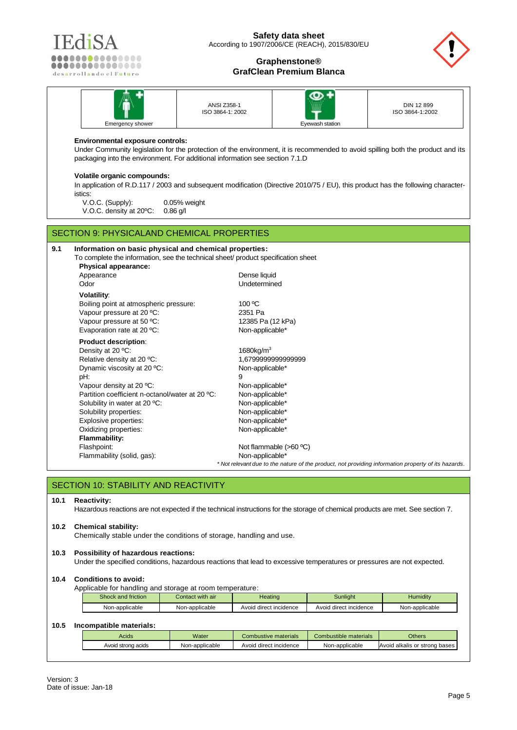



|                  | ANSI Z358-1<br>ISO 3864-1: 2002 | um              | DIN 12 899<br>ISO 3864-1:2002 |
|------------------|---------------------------------|-----------------|-------------------------------|
| Emergency shower |                                 | Eyewash station |                               |

## **Environmental exposure controls:**

Under Community legislation for the protection of the environment, it is recommended to avoid spilling both the product and its packaging into the environment. For additional information see section 7.1.D

### **Volatile organic compounds:**

In application of R.D.117 / 2003 and subsequent modification (Directive 2010/75 / EU), this product has the following characteristics:

V.O.C. (Supply): 0.05% weight V.O.C. density at 20ºC: 0.86 g/l

# SECTION 9: PHYSICALAND CHEMICAL PROPERTIES

| 9.1 | Information on basic physical and chemical properties:                            |                                                                                                     |
|-----|-----------------------------------------------------------------------------------|-----------------------------------------------------------------------------------------------------|
|     | To complete the information, see the technical sheet/ product specification sheet |                                                                                                     |
|     | Physical appearance:                                                              |                                                                                                     |
|     | Appearance                                                                        | Dense liquid                                                                                        |
|     | Odor                                                                              | Undetermined                                                                                        |
|     | <b>Volatility:</b>                                                                |                                                                                                     |
|     | Boiling point at atmospheric pressure:                                            | $100\,^{\circ}$ C                                                                                   |
|     | Vapour pressure at 20 °C:                                                         | 2351 Pa                                                                                             |
|     | Vapour pressure at 50 °C:                                                         | 12385 Pa (12 kPa)                                                                                   |
|     | Evaporation rate at 20 °C:                                                        | Non-applicable*                                                                                     |
|     | <b>Product description:</b>                                                       |                                                                                                     |
|     | Density at 20 °C:                                                                 | 1680 $kg/m3$                                                                                        |
|     | Relative density at 20 °C:                                                        | 1,6799999999999999                                                                                  |
|     | Dynamic viscosity at 20 °C:                                                       | Non-applicable*                                                                                     |
|     | pH:                                                                               | 9                                                                                                   |
|     | Vapour density at 20 °C:                                                          | Non-applicable*                                                                                     |
|     | Partition coefficient n-octanol/water at 20 °C:                                   | Non-applicable*                                                                                     |
|     | Solubility in water at 20 °C:                                                     | Non-applicable*                                                                                     |
|     | Solubility properties:                                                            | Non-applicable*                                                                                     |
|     | Explosive properties:                                                             | Non-applicable*                                                                                     |
|     | Oxidizing properties:                                                             | Non-applicable*                                                                                     |
|     | <b>Flammability:</b>                                                              |                                                                                                     |
|     | Flashpoint:                                                                       | Not flammable $(>60 °C)$                                                                            |
|     | Flammability (solid, gas):                                                        | Non-applicable*                                                                                     |
|     |                                                                                   | * Not relevant due to the nature of the product, not providing information property of its hazards. |

# SECTION 10: STABILITY AND REACTIVITY

#### **10.1 Reactivity:**

Hazardous reactions are not expected if the technical instructions for the storage of chemical products are met. See section 7.

## **10.2 Chemical stability:**

Chemically stable under the conditions of storage, handling and use.

## **10.3 Possibility of hazardous reactions:**

Under the specified conditions, hazardous reactions that lead to excessive temperatures or pressures are not expected.

### **10.4 Conditions to avoid:**

Applicable for handling and storage at room temperature:

| Shock and friction | Contact with air | Heating                | Sunliaht               | Humiditv       |
|--------------------|------------------|------------------------|------------------------|----------------|
| Non-applicable     | Non-applicable   | Avoid direct incidence | Avoid direct incidence | Non-applicable |

### **10.5 Incompatible materials:**

| Acids              | <b>Water</b>   | Combustive materials   | Combustible materials | <b>Others</b>                      |
|--------------------|----------------|------------------------|-----------------------|------------------------------------|
| Avoid strong acids | Non-applicable | Avoid direct incidence | Non-applicable        | Avoid<br>d alkalis or strong bases |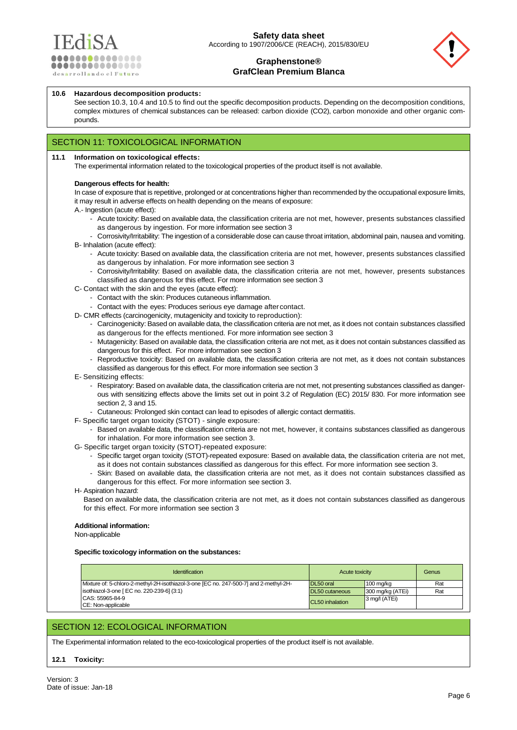



#### **10.6 Hazardous decomposition products:**

See section 10.3, 10.4 and 10.5 to find out the specific decomposition products. Depending on the decomposition conditions, complex mixtures of chemical substances can be released: carbon dioxide (CO2), carbon monoxide and other organic compounds.

# SECTION 11: TOXICOLOGICAL INFORMATION

#### **11.1 Information on toxicological effects:**

The experimental information related to the toxicological properties of the product itself is not available.

#### **Dangerous effects for health:**

In case of exposure that is repetitive, prolonged or at concentrations higher than recommended by the occupational exposure limits, it may result in adverse effects on health depending on the means of exposure:

- A.- Ingestion (acute effect):
	- Acute toxicity: Based on available data, the classification criteria are not met, however, presents substances classified as dangerous by ingestion. For more information see section 3
- Corrosivity/Irritability: The ingestion of a considerable dose can cause throat irritation, abdominal pain, nausea and vomiting. B- Inhalation (acute effect):
	- Acute toxicity: Based on available data, the classification criteria are not met, however, presents substances classified as dangerous by inhalation. For more information see section 3
	- Corrosivity/Irritability: Based on available data, the classification criteria are not met, however, presents substances classified as dangerous for this effect. For more information see section 3
- C- Contact with the skin and the eyes (acute effect):
	- Contact with the skin: Produces cutaneous inflammation.
	- Contact with the eyes: Produces serious eye damage aftercontact.
- D- CMR effects (carcinogenicity, mutagenicity and toxicity to reproduction):
	- Carcinogenicity: Based on available data, the classification criteria are not met, as it does not contain substances classified as dangerous for the effects mentioned. For more information see section 3
	- Mutagenicity: Based on available data, the classification criteria are not met, as it does not contain substances classified as dangerous for this effect. For more information see section 3
	- Reproductive toxicity: Based on available data, the classification criteria are not met, as it does not contain substances classified as dangerous for this effect. For more information see section 3
- E- Sensitizing effects:
	- Respiratory: Based on available data, the classification criteria are not met, not presenting substances classified as dangerous with sensitizing effects above the limits set out in point 3.2 of Regulation (EC) 2015/ 830. For more information see section 2, 3 and 15.
- Cutaneous: Prolonged skin contact can lead to episodes of allergic contact dermatitis.
- F- Specific target organ toxicity (STOT) single exposure:
	- Based on available data, the classification criteria are not met, however, it contains substances classified as dangerous for inhalation. For more information see section 3.
- G- Specific target organ toxicity (STOT)-repeated exposure:
	- Specific target organ toxicity (STOT)-repeated exposure: Based on available data, the classification criteria are not met, as it does not contain substances classified as dangerous for this effect. For more information see section 3.
	- Skin: Based on available data, the classification criteria are not met, as it does not contain substances classified as dangerous for this effect. For more information see section 3.
- H- Aspiration hazard:
	- Based on available data, the classification criteria are not met, as it does not contain substances classified as dangerous for this effect. For more information see section 3

### **Additional information:**

Non-applicable

#### **Specific toxicology information on the substances:**

| <b>Identification</b>                                                                 | Acute toxicity  |                     | Genus |
|---------------------------------------------------------------------------------------|-----------------|---------------------|-------|
| Mixture of: 5-chloro-2-methyl-2H-isothiazol-3-one [EC no. 247-500-7] and 2-methyl-2H- | DL50 oral       | $100 \text{ mg/kg}$ | Rat   |
| lisothiazol-3-one [ EC no. 220-239-6] (3:1)                                           | DL50 cutaneous  | 300 mg/kg (ATEi)    | Rat   |
| CAS: 55965-84-9                                                                       | CL50 inhalation | 3 mg/l (ATEi)       |       |
| CE: Non-applicable                                                                    |                 |                     |       |

# SECTION 12: ECOLOGICAL INFORMATION

The Experimental information related to the eco-toxicological properties of the product itself is not available.

## **12.1 Toxicity:**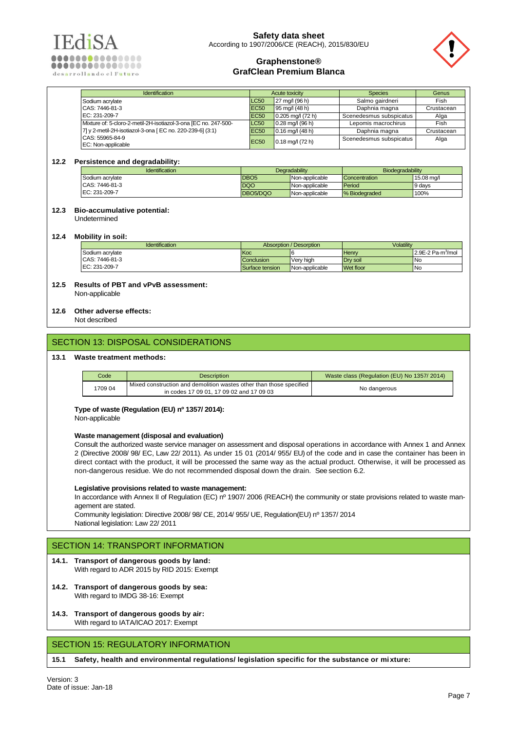



| <b>Identification</b>                                           | Acute toxicity |                                         | <b>Species</b>          | Genus      |
|-----------------------------------------------------------------|----------------|-----------------------------------------|-------------------------|------------|
| Sodium acrylate                                                 | <b>LC50</b>    | $27 \text{ mq}$ (96 h)                  | Salmo gairdneri         | Fish       |
| CAS: 7446-81-3                                                  | <b>EC50</b>    | $195 \text{ ma}/(48 \text{ h})$         | Daphnia magna           | Crustacean |
| EC: 231-209-7                                                   | <b>EC50</b>    | $0.205 \,\mathrm{mq}/(72 \,\mathrm{h})$ | Scenedesmus subspicatus | Alga       |
| Mixture of: 5-cloro-2-metil-2H-isotiazol-3-ona [EC no. 247-500- | <b>LC50</b>    | $0.28 \text{ mq}/(96 \text{ h})$        | Lepomis macrochirus     | Fish       |
| 7] y 2-metil-2H-isotiazol-3-ona [EC no. 220-239-6] (3:1)        | <b>EC50</b>    | $0.16$ mg/l (48 h)                      | Daphnia magna           | Crustacean |
| CAS: 55965-84-9                                                 | <b>EC50</b>    | $0.18$ mg/l (72 h)                      | Scenedesmus subspicatus | Alga       |
| EC: Non-applicable                                              |                |                                         |                         |            |

### **12.2 Persistence and degradability:**

| <b>Identification</b> | <b>Degradability</b> |                | Biodegradability |            |
|-----------------------|----------------------|----------------|------------------|------------|
| Sodium acrylate       | DBO <sub>5</sub>     | Non-applicable | Concentration    | 15.08 ma/l |
| CAS: 7446-81-3        | DQO                  | Non-applicable | Period           | 9 days     |
| EC: 231-209-7         | DBO5/DQO             | Non-applicable | % Biodegraded    | 100%       |

### **12.3 Bio-accumulative potential:**

Undetermined

#### **12.4 Mobility in soil:**

| <b>Identification</b> | Absorption / Desorption |                | Volatilitv       |                     |
|-----------------------|-------------------------|----------------|------------------|---------------------|
| Sodium acrylate       | <b>Koc</b>              |                | <b>Henry</b>     | $12.9E-2 Pa·m3/mol$ |
| CAS: 7446-81-3        | <b>Conclusion</b>       | Very high      | Drv soil         | <b>INo</b>          |
| EC: 231-209-7         | Surface tension         | Non-applicable | <b>Wet floor</b> | <b>INo</b>          |

## **12.5 Results of PBT and vPvB assessment:**

Non-applicable

### **12.6 Other adverse effects:**

Not described

# SECTION 13: DISPOSAL CONSIDERATIONS

### **13.1 Waste treatment methods:**

| Code<br><b>Description</b> |                                                                                                                 | Waste class (Regulation (EU) No 1357/2014) |
|----------------------------|-----------------------------------------------------------------------------------------------------------------|--------------------------------------------|
| 1709 04                    | Mixed construction and demolition wastes other than those specified<br>in codes 17 09 01, 17 09 02 and 17 09 03 | No dangerous                               |

#### **Type of waste (Regulation (EU) nº 1357/ 2014):**

Non-applicable

#### **Waste management (disposal and evaluation)**

Consult the authorized waste service manager on assessment and disposal operations in accordance with Annex 1 and Annex 2 (Directive 2008/ 98/ EC, Law 22/ 2011). As under 15 01 (2014/ 955/ EU) of the code and in case the container has been in direct contact with the product, it will be processed the same way as the actual product. Otherwise, it will be processed as non-dangerous residue. We do not recommended disposal down the drain. See section 6.2.

#### **Legislative provisions related to waste management:**

In accordance with Annex II of Regulation (EC) nº 1907/ 2006 (REACH) the community or state provisions related to waste management are stated.

Community legislation: Directive 2008/ 98/ CE, 2014/ 955/ UE, Regulation(EU) nº 1357/ 2014 National legislation: Law 22/ 2011

# SECTION 14: TRANSPORT INFORMATION

#### **14.1. Transport of dangerous goods by land:** With regard to ADR 2015 by RID 2015: Exempt

- **14.2. Transport of dangerous goods by sea:**  With regard to IMDG 38-16: Exempt
- **14.3. Transport of dangerous goods by air:** With regard to IATA/ICAO 2017: Exempt

# SECTION 15: REGULATORY INFORMATION

**15.1 Safety, health and environmental regulations/ legislation specific for the substance or mixture:**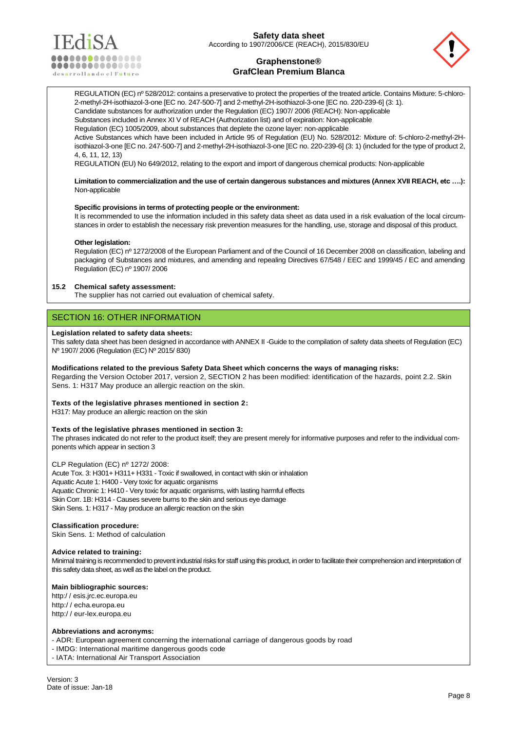



REGULATION (EC) nº 528/2012: contains a preservative to protect the properties of the treated article. Contains Mixture: 5-chloro-2-methyl-2H-isothiazol-3-one [EC no. 247-500-7] and 2-methyl-2H-isothiazol-3-one [EC no. 220-239-6] (3: 1). Candidate substances for authorization under the Regulation (EC) 1907/ 2006 (REACH): Non-applicable Substances included in Annex XI V of REACH (Authorization list) and of expiration: Non-applicable Regulation (EC) 1005/2009, about substances that deplete the ozone layer: non-applicable Active Substances which have been included in Article 95 of Regulation (EU) No. 528/2012: Mixture of: 5-chloro-2-methyl-2Hisothiazol-3-one [EC no. 247-500-7] and 2-methyl-2H-isothiazol-3-one [EC no. 220-239-6] (3: 1) (included for the type of product 2, 4, 6, 11, 12, 13)

REGULATION (EU) No 649/2012, relating to the export and import of dangerous chemical products: Non-applicable

**Limitation to commercialization and the use of certain dangerous substances and mixtures (Annex XVII REACH, etc ….):** Non-applicable

#### **Specific provisions in terms of protecting people or the environment:**

It is recommended to use the information included in this safety data sheet as data used in a risk evaluation of the local circumstances in order to establish the necessary risk prevention measures for the handling, use, storage and disposal of this product.

#### **Other legislation:**

Regulation (EC) nº 1272/2008 of the European Parliament and of the Council of 16 December 2008 on classification, labeling and packaging of Substances and mixtures, and amending and repealing Directives 67/548 / EEC and 1999/45 / EC and amending Regulation (EC) nº 1907/ 2006

### **15.2 Chemical safety assessment:**

The supplier has not carried out evaluation of chemical safety.

## SECTION 16: OTHER INFORMATION

#### **Legislation related to safety data sheets:**

This safety data sheet has been designed in accordance with ANNEX II -Guide to the compilation of safety data sheets of Regulation (EC) Nº 1907/ 2006 (Regulation (EC) Nº 2015/ 830)

#### **Modifications related to the previous Safety Data Sheet which concerns the ways of managing risks:**

Regarding the Version October 2017, version 2, SECTION 2 has been modified: identification of the hazards, point 2.2. Skin Sens. 1: H317 May produce an allergic reaction on the skin.

#### **Texts of the legislative phrases mentioned in section 2:**

H317: May produce an allergic reaction on the skin

## **Texts of the legislative phrases mentioned in section 3:**

The phrases indicated do not refer to the product itself; they are present merely for informative purposes and refer to the individual components which appear in section 3

#### CLP Regulation (EC) nº 1272/ 2008:

Acute Tox. 3: H301+ H311+ H331 - Toxic if swallowed, in contact with skin or inhalation Aquatic Acute 1: H400 - Very toxic for aquatic organisms Aquatic Chronic 1: H410 - Very toxic for aquatic organisms, with lasting harmful effects Skin Corr. 1B: H314 - Causes severe burns to the skin and serious eye damage Skin Sens. 1: H317 - May produce an allergic reaction on the skin

### **Classification procedure:**

Skin Sens. 1: Method of calculation

#### **Advice related to training:**

Minimal training is recommended to prevent industrial risks for staff using this product, in order to facilitate their comprehension and interpretation of this safety data sheet, as well as the label on the product.

#### **Main bibliographic sources:**

[http:/ / esis.jrc.ec.europa.eu](http://esis.jrc.ec.europa.eu/) [http:/ / echa.europa.eu](http://echa.europa.eu/) [http:/ / eur-lex.europa.eu](http://eur-lex.europa.eu/)

### **Abbreviations and acronyms:**

- ADR: European agreement concerning the international carriage of dangerous goods by road

- IMDG: International maritime dangerous goods code

- IATA: International Air Transport Association